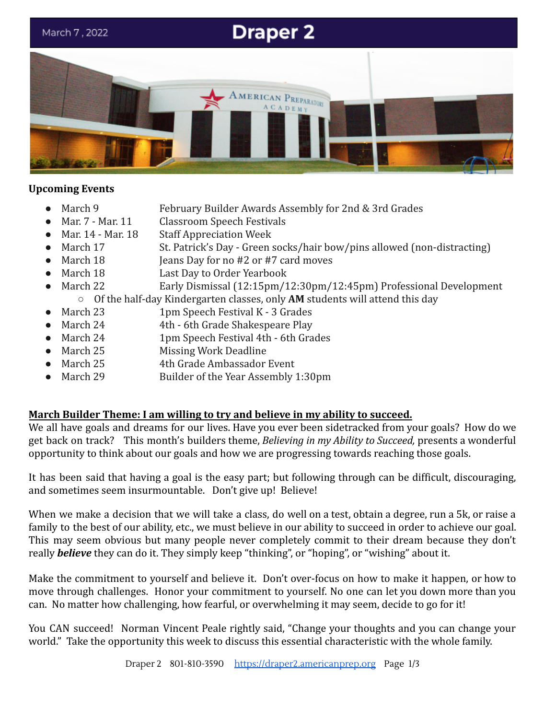

#### **Upcoming Events**

- - March 9 February Builder Awards Assembly for 2nd & 3rd Grades
	- Mar. 7 Mar. 11 Classroom Speech Festivals
- Mar. 14 Mar. 18 Staff Appreciation Week
- March 17 St. Patrick's Day Green socks/hair bow/pins allowed (non-distracting)
- March  $18$  Jeans Day for no #2 or #7 card moves
- March 18 Last Day to Order Yearbook
- March 22 Early Dismissal (12:15pm/12:30pm/12:45pm) Professional Development

○ Of the half-day Kindergarten classes, only **AM** students will attend this day

- March 23 1pm Speech Festival K 3 Grades
- March 24 4th 6th Grade Shakespeare Play
- March 24 1pm Speech Festival 4th 6th Grades
- March 25 Missing Work Deadline
- March 25 4th Grade Ambassador Event
- March 29 Builder of the Year Assembly 1:30pm

### **March Builder Theme: I am willing to try and believe in my ability to succeed.**

We all have goals and dreams for our lives. Have you ever been sidetracked from your goals? How do we get back on track? This month's builders theme, *Believing in my Ability to Succeed,* presents a wonderful opportunity to think about our goals and how we are progressing towards reaching those goals.

It has been said that having a goal is the easy part; but following through can be difficult, discouraging, and sometimes seem insurmountable. Don't give up! Believe!

When we make a decision that we will take a class, do well on a test, obtain a degree, run a 5k, or raise a family to the best of our ability, etc., we must believe in our ability to succeed in order to achieve our goal. This may seem obvious but many people never completely commit to their dream because they don't really *believe* they can do it. They simply keep "thinking", or "hoping", or "wishing" about it.

Make the commitment to yourself and believe it. Don't over-focus on how to make it happen, or how to move through challenges. Honor your commitment to yourself. No one can let you down more than you can. No matter how challenging, how fearful, or overwhelming it may seem, decide to go for it!

You CAN succeed! Norman Vincent Peale rightly said, "Change your thoughts and you can change your world." Take the opportunity this week to discuss this essential characteristic with the whole family.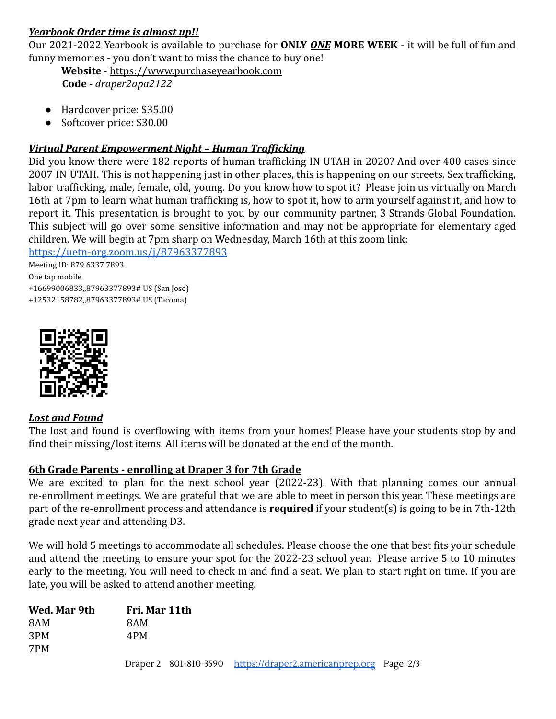# *Yearbook Order time is almost up!!*

Our 2021-2022 Yearbook is available to purchase for **ONLY** *ONE* **MORE WEEK** - it will be full of fun and funny memories - you don't want to miss the chance to buy one!

**Website** - [https://www.purchaseyearbook.com](https://www.purchaseyearbook.com/) **Code** - *draper2apa2122*

- Hardcover price: \$35.00
- Softcover price: \$30.00

### *Virtual Parent Empowerment Night – Human Trafficking*

Did you know there were 182 reports of human trafficking IN UTAH in 2020? And over 400 cases since 2007 IN UTAH. This is not happening just in other places, this is happening on our streets. Sex trafficking, labor trafficking, male, female, old, young. Do you know how to spot it? Please join us virtually on March 16th at 7pm to learn what human trafficking is, how to spot it, how to arm yourself against it, and how to report it. This presentation is brought to you by our community partner, 3 Strands Global Foundation. This subject will go over some sensitive information and may not be appropriate for elementary aged children. We will begin at 7pm sharp on Wednesday, March 16th at this zoom link:

<https://uetn-org.zoom.us/j/87963377893>

Meeting ID: 879 6337 7893 One tap mobile +16699006833,,87963377893# US (San Jose)

+12532158782,,87963377893# US (Tacoma)



### *Lost and Found*

The lost and found is overflowing with items from your homes! Please have your students stop by and find their missing/lost items. All items will be donated at the end of the month.

### **6th Grade Parents - enrolling at Draper 3 for 7th Grade**

We are excited to plan for the next school year (2022-23). With that planning comes our annual re-enrollment meetings. We are grateful that we are able to meet in person this year. These meetings are part of the re-enrollment process and attendance is **required** if your student(s) is going to be in 7th-12th grade next year and attending D3.

We will hold 5 meetings to accommodate all schedules. Please choose the one that best fits your schedule and attend the meeting to ensure your spot for the 2022-23 school year. Please arrive 5 to 10 minutes early to the meeting. You will need to check in and find a seat. We plan to start right on time. If you are late, you will be asked to attend another meeting.

| Wed. Mar 9th | Fri. Mar 11th |                                                                 |  |
|--------------|---------------|-----------------------------------------------------------------|--|
| 8AM          | 8AM           |                                                                 |  |
| 3PM          | 4PM           |                                                                 |  |
| 7PM          |               |                                                                 |  |
|              |               | Draper 2 801-810-3590 https://draper2.americanprep.org Page 2/3 |  |